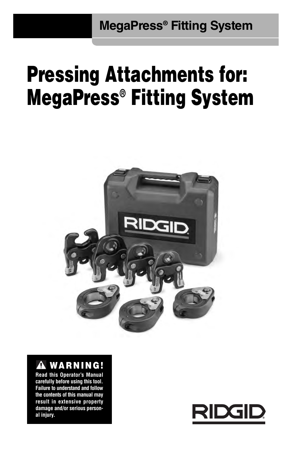**MegaPress® Fitting System**

# **Pressing Attachments for: MegaPress® Fitting System**



# **WARNING!**

**Read this Operator's Manual carefully before using this tool. Failure to understand and follow the contents of this manual may result in extensive property damage and/or serious person al injury.**

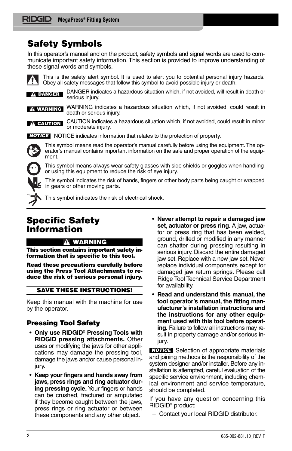# **Safety Symbols**

In this operator's manual and on the product, safety symbols and signal words are used to communicate important safety information. This section is provided to improve understanding of these signal words and symbols.



This is the safety alert symbol. It is used to alert you to potential personal injury hazards. Obey all safety messages that follow this symbol to avoid possible injury or death.

DANGER indicates a hazardous situation which, if not avoided, will result in death or serious injury. **DANGER**

**WARNING**

WARNING indicates a hazardous situation which, if not avoided, could result in death or serious injury. CAUTION indicates a hazardous situation which, if not avoided, could result in minor

**A** CAUTION

NOTICE indicates information that relates to the protection of property. *NOTICE*

This symbol means read the operator's manual carefully before using the equipment. The operator's manual contains important information on the safe and proper operation of the equipment.

This symbol means always wear safety glasses with side shields or goggles when handling or using this equipment to reduce the risk of eye injury.

This symbol indicates the risk of hands, fingers or other body parts being caught or wrapped in gears or other moving parts.



This symbol indicates the risk of electrical shock.

# **Specific Safety Information**

### **WARNING**

or moderate injury.

**This section contains important safety information that is specific to this tool.**

**Read these precautions carefully before using the Press Tool Attachments to reduce the risk of serious personal injury.**

### **SAVE THESE INSTRUCTIONS!**

Keep this manual with the machine for use by the operator.

### **Pressing Tool Safety**

- **Only use RIDGID® Pressing Tools with RIDGID pressing attachments.** Other uses or modifying the jaws for other applications may damage the pressing tool, damage the jaws and/or cause personal injury.
- **Keep your fingers and hands away from jaws, press rings and ring actuator during pressing cycle.** Your fingers or hands can be crushed, fractured or amputated if they become caught between the jaws, press rings or ring actuator or between these components and any other object.
- **Never attempt to repair a damaged jaw set, actuator or press ring.** A jaw, actuator or press ring that has been welded, ground, drilled or modified in any manner can shatter during pressing resulting in serious injury. Discard the entire damaged jaw set. Replace with a new jaw set. Never replace individual components except for damaged jaw return springs. Please call Ridge Tool Technical Service Department for availability.
- **Read and understand this manual, the tool operator's manual, the fitting manufacturer's installation instructions and the instructions for any other equipment used with this tool before operating.** Failure to follow all instructions may result in property damage and/or serious injury.

**NOTICE** Selection of appropriate materials and joining methods is the responsibility of the system designer and/or installer. Before any installation is attempted, careful evaluation of the specific service environment, including chemical environment and service temperature, should be completed.

If you have any question concerning this RIDGID® product:

– Contact your local RIDGID distributor.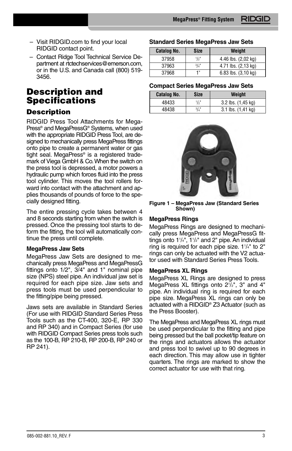- Visit RIDGID.com to find your local RIDGID contact point.
- Contact Ridge Tool Technical Service De partment at rtctechservices@emerson.com, or in the U.S. and Canada call (800) 519- 3456.

# **Description and Specifications**

### **Description**

RIDGID Press Tool Attachments for Mega-Press® and MegaPressG® Systems, when used with the appropriate RIDGID Press Tool, are designed to mechanically press MegaPress fittings onto pipe to create a permanent water or gas tight seal. MegaPress® is a registered trademark of Viega GmbH & Co. When the switch on the press tool is depressed, a motor powers a hydraulic pump which forces fluid into the press tool cylinder. This moves the tool rollers forward into contact with the attachment and applies thousands of pounds of force to the specially designed fitting.

The entire pressing cycle takes between 4 and 8 seconds starting from when the switch is pressed. Once the pressing tool starts to deform the fitting, the tool will automatically continue the press until complete.

### **MegaPress Jaw Sets**

MegaPress Jaw Sets are designed to mechanically press MegaPress and MegaPressG fittings onto 1/2", 3/4" and 1" nominal pipe size (NPS) steel pipe. An individual jaw set is required for each pipe size. Jaw sets and press tools must be used perpendicular to the fitting/pipe being pressed.

Jaws sets are available in Standard Series (For use with RIDGID Standard Series Press Tools such as the CT-400, 320-E, RP 330 and RP 340) and in Compact Series (for use with RIDGID Compact Series press tools such as the 100-B, RP 210-B, RP 200-B, RP 240 or RP 241).

#### **Standard Series MegaPress Jaw Sets**

| <b>Catalog No.</b> | <b>Size</b>   | Weight              |
|--------------------|---------------|---------------------|
| 37958              | $\frac{1}{2}$ | 4.46 lbs. (2,02 kg) |
| 37963              | 3/4"          | 4.71 lbs. (2,13 kg) |
| 37968              | 1"            | 6.83 lbs. (3,10 kg) |

### **Compact Series MegaPress Jaw Sets**

| <b>Catalog No.</b> | <b>Size</b>   | Weight                 |
|--------------------|---------------|------------------------|
| 48433              | $\frac{1}{2}$ | 3.2 lbs. (1,45 kg)     |
| 48438              | 3/4           | $3.1$ lbs. $(1.41$ kg) |



**Figure 1 – MegaPress Jaw (Standard Series Shown)**

### **MegaPress Rings**

MegaPress Rings are designed to mechanically press MegaPress and MegaPressG fittings onto 11 /4", 11 /2" and 2" pipe. An individual ring is required for each pipe size. 11 /4" to 2" rings can only be actuated with the V2 actuator used with Standard Series Press Tools.

### **MegaPress XL Rings**

MegaPress XL Rings are designed to press MegaPress XL fittings onto 21 /2", 3" and 4" pipe. An individual ring is required for each pipe size. MegaPress XL rings can only be actuated with a RIDGID® Z3 Actuator (such as the Press Booster).

The MegaPress and MegaPress XL rings must be used perpendicular to the fitting and pipe being pressed but the ball pocket/tip feature on the rings and actuators allows the actuator and press tool to swivel up to 90 degrees in each direction. This may allow use in tighter quarters. The rings are marked to show the correct actuator for use with that ring.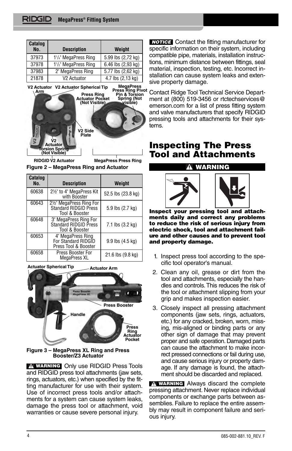| Catalog<br>No. | <b>Description</b>                             | Weight             |  |
|----------------|------------------------------------------------|--------------------|--|
| 37973          | 1 <sup>1</sup> / <sub>4</sub> " MegaPress Ring | 5.99 lbs (2,72 kg) |  |
| 37978          | 1 <sup>1</sup> / <sub>2</sub> " MegaPress Ring | 6.46 lbs (2,93 kg) |  |
| 37983          | 2" MegaPress Ring                              | 5.77 lbs (2,62 kg) |  |
| 21878          | V <sub>2</sub> Actuator                        | 4.7 lbs (2,13 kg)  |  |



**Figure 2 – MegaPress Ring and Actuator RIDGID V2 Actuator MegaPress Press Ring**

| Catalog<br>No. | <b>Description</b>                                                | Weight             |  |
|----------------|-------------------------------------------------------------------|--------------------|--|
| 60638          | 2½" to 4" MegaPress Kit<br>with Booster                           | 52.5 lbs (23.8 kg) |  |
| 60643          | 2½" MegaPress Ring For<br>Standard RIDGID Press<br>Tool & Booster | 5.9 lbs (2.7 kg)   |  |
| 60648          | 3" MegaPress Ring For<br>Standard RIDGID Press<br>Tool & Booster  | 7.1 lbs (3.2 kg)   |  |
| 60653          | 4" MegaPress Ring<br>For Standard RIDGID<br>Press Tool & Booster  | 9.9 lbs (4.5 kg)   |  |
| 60658          | Press Booster For<br>MegaPress XL                                 | 21.6 lbs (9.8 kg)  |  |

**Actuator Spherical Tip Actuator Arm** 



**Figure 3 – MegaPress XL Ring and Press Booster/Z3 Actuator**

**WARNING** Only use RIDGID Press Tools and RIDGID press tool attachments (jaw sets, rings, actuators, etc.) when specified by the fitting manufacturer for use with their system. Use of incorrect press tools and/or attachments for a system can cause system leaks, damage the press tool or attachment, void warranties or cause severe personal injury.

**NOTICE** Contact the fitting manufacturer for specific information on their system, including compatible pipe, materials, installation instructions, minimum distance between fittings, seal material, inspection, testing, etc. Incorrect installation can cause system leaks and extensive property damage.

Contact Ridge Tool Technical Service Department at (800) 519-3456 or rtctechservices@ emerson.com for a list of press fitting system and valve manufacturers that specify RIDGID pressing tools and attachments for their systems.

### **Inspecting The Press Tool and Attachments**



**Inspect your pressing tool and attachments daily and correct any problems to reduce the risk of serious injury from electric shock, tool and attachment failure and other causes and to prevent tool and property damage.**

- 1. Inspect press tool according to the specific tool operator's manual.
- 2. Clean any oil, grease or dirt from the tool and attachments, especially the handles and controls. This reduces the risk of the tool or attachment slipping from your grip and makes inspection easier.
- 3. Closely inspect all pressing attachment components (jaw sets, rings, actuators, etc.) for any cracked, broken, worn, missing, mis-aligned or binding parts or any other sign of damage that may prevent proper and safe operation. Damaged parts can cause the attachment to make incorrect pressed connections or fail during use, and cause serious injury or property damage. If any damage is found, the attachment should be discarded and replaced.

**WARNING** Always discard the complete pressing attachment. Never replace individual components or exchange parts between assemblies. Failure to replace the entire assembly may result in component failure and serious injury.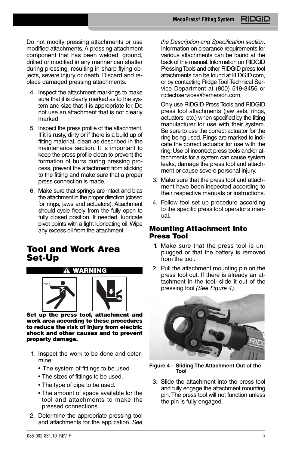Do not modify pressing attachments or use modified attachments. A pressing attachment component that has been welded, ground, drilled or modified in any manner can shatter during pressing, resulting in sharp flying objects, severe injury or death. Discard and replace damaged pressing attachments.

- 4. Inspect the attachment markings to make sure that it is clearly marked as to the system and size that it is appropriate for. Do not use an attachment that is not clearly marked.
- 5. Inspect the press profile of the attachment. If it is rusty, dirty or if there is a build up of fitting material, clean as described in the maintenance section. It is important to keep the press profile clean to prevent the formation of burrs during pressing process, prevent the attachment from sticking to the fitting and make sure that a proper press connection is made.
- 6. Make sure that springs are intact and bias the attachment in the proper direction (closed for rings, jaws and actuators). Attachment should cycle freely from the fully open to fully closed position. If needed, lubricate pivot points with a light lubricating oil. Wipe any excess oil from the attachment.

### **Tool and Work Area Set-Up**





**Set up the press tool, attachment and work area according to these procedures to reduce the risk of injury from electric shock and other causes and to prevent property damage.**

- 1. Inspect the work to be done and determine:
	- The system of fittings to be used
	- The sizes of fittings to be used.
	- The type of pipe to be used.
	- The amount of space available for the tool and attachments to make the pressed connections.
- 2. Determine the appropriate pressing tool and attachments for the application. *See*

*the Description and Specification section*. Information on clearance requirements for various attachments can be found at the back of the manual. Information on RIDGID Pressing Tools and other RIDGID press tool attachments can be found at RIDGID.com, or by contacting Ridge Tool Technical Service Department at (800) 519-3456 or rtctechservices@emerson.com.

Only use RIDGID Press Tools and RIDGID press tool attachments (jaw sets, rings, actuators, etc.) when specified by the fitting manufacturer for use with their system. Be sure to use the correct actuator for the ring being used. Rings are marked to indicate the correct actuator for use with the ring. Use of incorrect press tools and/or attachments for a system can cause system leaks, damage the press tool and attachment or cause severe personal injury.

- 3. Make sure that the press tool and attachment have been inspected according to their respective manuals or instructions.
- 4. Follow tool set up procedure according to the specific press tool operator's manual.

### **Mounting Attachment Into Press Tool**

- 1. Make sure that the press tool is unplugged or that the battery is removed from the tool.
- 2. Pull the attachment mounting pin on the press tool out. If there is already an attachment in the tool, slide it out of the pressing tool *(See Figure 4)*.



**Figure 4 – Sliding The Attachment Out of the Tool**

3. Slide the attachment into the press tool and fully engage the attachment mounting pin. The press tool will not function unless the pin is fully engaged.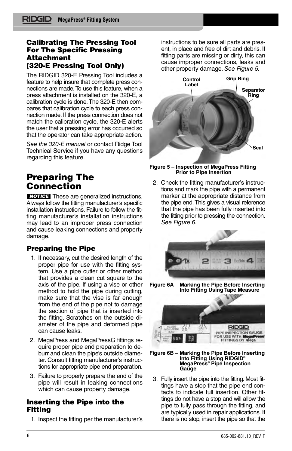### **Calibrating The Pressing Tool For The Specific Pressing Attachment (320-E Pressing Tool Only)**

The RIDGID 320-E Pressing Tool includes a feature to help insure that complete press connections are made. To use this feature, when a press attachment is installed on the 320-E, a calibration cycle is done. The 320-E then compares that calibration cycle to each press connection made. If the press connection does not match the calibration cycle, the 320-E alerts the user that a pressing error has occurred so that the operator can take appropriate action.

*See the 320-E manual* or contact Ridge Tool Technical Service if you have any questions regarding this feature.

## **Preparing The Connection**

**NOTICE** These are generalized instructions. Always follow the fitting manufacturer's specific installation instructions. Failure to follow the fitting manufacturer's installation instructions may lead to an improper press connection and cause leaking connections and property damage.

### **Preparing the Pipe**

- 1. If necessary, cut the desired length of the proper pipe for use with the fitting system. Use a pipe cutter or other method that provides a clean cut square to the axis of the pipe. If using a vise or other method to hold the pipe during cutting, make sure that the vise is far enough from the end of the pipe not to damage the section of pipe that is inserted into the fitting. Scratches on the outside diameter of the pipe and deformed pipe can cause leaks.
- 2. MegaPress and MegaPressG fittings require proper pipe end preparation to deburr and clean the pipe's outside diameter. Consult fitting manufacturer's instructions for appropriate pipe end preparation.
- 3. Failure to properly prepare the end of the pipe will result in leaking connections which can cause property damage.

### **Inserting the Pipe into the Fitting**

1. Inspect the fitting per the manufacturer's

instructions to be sure all parts are present, in place and free of dirt and debris. If fitting parts are missing or dirty, this can cause improper connections, leaks and other property damage. *See Figure 5.*



#### **Figure 5 – Inspection of MegaPress Fitting Prior to Pipe Insertion**

2. Check the fitting manufacturer's instructions and mark the pipe with a permanent marker at the appropriate distance from the pipe end. This gives a visual reference that the pipe has been fully inserted into the fitting prior to pressing the connection. *See Figure 6.*



**Figure 6A – Marking the Pipe Before Inserting Into Fitting Using Tape Measure**



### **Figure 6B – Marking the Pipe Before Inserting Into Fitting Using RIDGID® MegaPress® Pipe Inspection Gauge**

3. Fully insert the pipe into the fitting. Most fittings have a stop that the pipe end contacts to indicate full insertion. Other fittings do not have a stop and will allow the pipe to fully pass through the fitting, and are typically used in repair applications. If there is no stop, insert the pipe so that the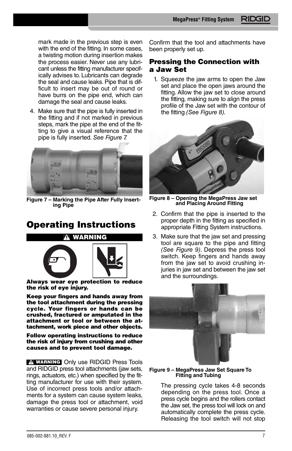mark made in the previous step is even with the end of the fitting. In some cases, a twisting motion during insertion makes the process easier. Never use any lubricant unless the fitting manufacturer specifically advises to. Lubricants can degrade the seal and cause leaks. Pipe that is difficult to insert may be out of round or have burrs on the pipe end, which can damage the seal and cause leaks.

4. Make sure that the pipe is fully inserted in the fitting and if not marked in previous steps, mark the pipe at the end of the fitting to give a visual reference that the pipe is fully inserted. *See Figure 7.*



**Figure 7 – Marking the Pipe After Fully Insert ing Pipe**

# **Operating Instructions**



**Always wear eye protection to reduce the risk of eye injury.**

**Keep your fingers and hands away from the tool attachment during the pressing cycle. Your fingers or hands can be crushed, fractured or amputated in the attachment or tool or between the attachment, work piece and other objects.**

**Follow operating instructions to reduce the risk of injury from crushing and other causes and to prevent tool damage.**

**WARNING** Only use RIDGID Press Tools and RIDGID press tool attachments (jaw sets, rings, actuators, etc.) when specified by the fitting manufacturer for use with their system. Use of incorrect press tools and/or attachments for a system can cause system leaks, damage the press tool or attachment, void warranties or cause severe personal injury.

Confirm that the tool and attachments have been properly set up.

### **Pressing the Connection with a Jaw Set**

1. Squeeze the jaw arms to open the Jaw set and place the open jaws around the fitting. Allow the jaw set to close around the fitting, making sure to align the press profile of the Jaw set with the contour of the fitting *(See Figure 8).*



**Figure 8 – Opening the MegaPress Jaw set and Placing Around Fitting**

- 2. Confirm that the pipe is inserted to the proper depth in the fitting as specified in appropriate Fitting System instructions.
- 3. Make sure that the jaw set and pressing tool are square to the pipe and fitting *(See Figure 9)*. Depress the press tool switch. Keep fingers and hands away from the jaw set to avoid crushing injuries in jaw set and between the jaw set and the surroundings.



#### **Figure 9 – MegaPress Jaw Set Square To Fitting and Tubing**

The pressing cycle takes 4-8 seconds depending on the press tool. Once a press cycle begins and the rollers contact the Jaw set, the press tool will lock on and automatically complete the press cycle. Releasing the tool switch will not stop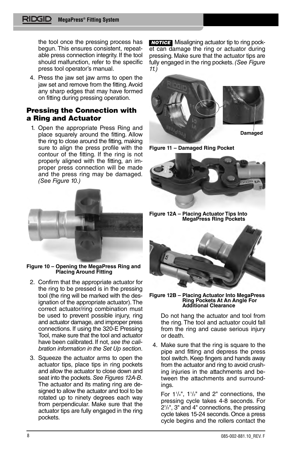the tool once the pressing process has begun. This ensures consistent, repeatable press connection integrity. If the tool should malfunction, refer to the specific press tool operator's manual.

4. Press the jaw set jaw arms to open the jaw set and remove from the fitting. Avoid any sharp edges that may have formed on fitting during pressing operation.

### **Pressing the Connection with a Ring and Actuator**

1. Open the appropriate Press Ring and place squarely around the fitting. Allow the ring to close around the fitting, making sure to align the press profile with the contour of the fitting. If the ring is not properly aligned with the fitting, an improper press connection will be made and the press ring may be damaged. *(See Figure 10.)*



**Figure 10 – Opening the MegaPress Ring and Placing Around Fitting**

- 2. Confirm that the appropriate actuator for the ring to be pressed is in the pressing tool (the ring will be marked with the designation of the appropriate actuator). The correct actuator/ring combination must be used to prevent possible injury, ring and actuator damage, and improper press connections. If using the 320-E Pressing Tool, make sure that the tool and actuator have been calibrated. If not, *see the calibration information in the Set Up section*.
- 3. Squeeze the actuator arms to open the actuator tips, place tips in ring pockets and allow the actuator to close down and seat into the pockets. *See Figures 12A-B*. The actuator and its mating ring are designed to allow the actuator and tool to be rotated up to ninety degrees each way from perpendicular. Make sure that the actuator tips are fully engaged in the ring pockets.

**NOTICE** Misaligning actuator tip to ring pocket can damage the ring or actuator during pressing. Make sure that the actuator tips are fully engaged in the ring pockets. *(See Figure 11.)*







**Figure 12A – Placing Actuator Tips Into MegaPress Ring Pockets**



**Figure 12B – Placing Actuator Into MegaPress Ring Pockets At An Angle For Additional Clearance**

Do not hang the actuator and tool from the ring. The tool and actuator could fall from the ring and cause serious injury or death.

4. Make sure that the ring is square to the pipe and fitting and depress the press tool switch. Keep fingers and hands away from the actuator and ring to avoid crushing injuries in the attachments and between the attachments and surroundings.

For  $1^{1}/4$ ",  $1^{1}/2$ " and 2" connections, the pressing cycle takes 4-8 seconds. For 21 /2", 3" and 4" connections, the pressing cycle takes 15-24 seconds. Once a press cycle begins and the rollers contact the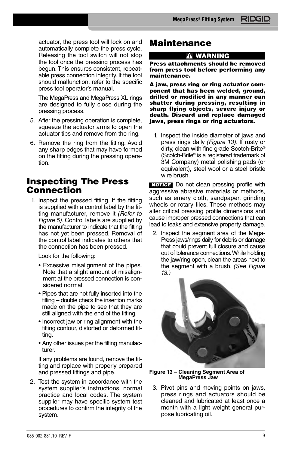actuator, the press tool will lock on and automatically complete the press cycle. Releasing the tool switch will not stop the tool once the pressing process has begun. This ensures consistent, repeatable press connection integrity. If the tool should malfunction, refer to the specific press tool operator's manual.

The MegaPress and MegaPress XL rings are designed to fully close during the pressing process.

- 5. After the pressing operation is complete, squeeze the actuator arms to open the actuator tips and remove from the ring.
- 6. Remove the ring from the fitting. Avoid any sharp edges that may have formed on the fitting during the pressing operation.

### **Inspecting The Press Connection**

1. Inspect the pressed fitting. If the fitting is supplied with a control label by the fitting manufacturer, remove it *(Refer to Figure 5)*. Control labels are supplied by the manufacturer to indicate that the fitting has not yet been pressed. Removal of the control label indicates to others that the connection has been pressed.

Look for the following:

- Excessive misalignment of the pipes. Note that a slight amount of misalignment at the pressed connection is considered normal.
- Pipes that are not fully inserted into the fitting – double check the insertion marks made on the pipe to see that they are still aligned with the end of the fitting.
- Incorrect jaw or ring alignment with the fitting contour, distorted or deformed fitting.
- Any other issues per the fitting manufacturer.

If any problems are found, remove the fitting and replace with properly prepared and pressed fittings and pipe.

2. Test the system in accordance with the system supplier's instructions, normal practice and local codes. The system supplier may have specific system test procedures to confirm the integrity of the system.

### **Maintenance**

### **WARNING**

**Press attachments should be removed from press tool before performing any maintenance.**

**A jaw, press ring or ring actuator component that has been welded, ground, drilled or modified in any manner can shatter during pressing, resulting in sharp flying objects, severe injury or death. Discard and replace damaged jaws, press rings or ring actuators.**

1. Inspect the inside diameter of jaws and press rings daily *(Figure 13)*. If rusty or dirty, clean with fine grade Scotch-Brite® (Scotch-Brite® is a registered trademark of 3M Company) metal polishing pads (or equivalent), steel wool or a steel bristle wire brush.

**NOTICE** Do not clean pressing profile with aggressive abrasive materials or methods, such as emery cloth, sandpaper, grinding wheels or rotary files. These methods may alter critical pressing profile dimensions and cause improper pressed connections that can lead to leaks and extensive property damage.

2. Inspect the segment area of the Mega-Press jaws/rings daily for debris or damage that could prevent full closure and cause out of tolerance connections. While holding the jaw/ring open, clean the areas next to the segment with a brush. *(See Figure 13.)*



**Figure 13 – Cleaning Segment Area of MegaPress Jaw**

3. Pivot pins and moving points on jaws, press rings and actuators should be cleaned and lubricated at least once a month with a light weight general purpose lubricating oil.